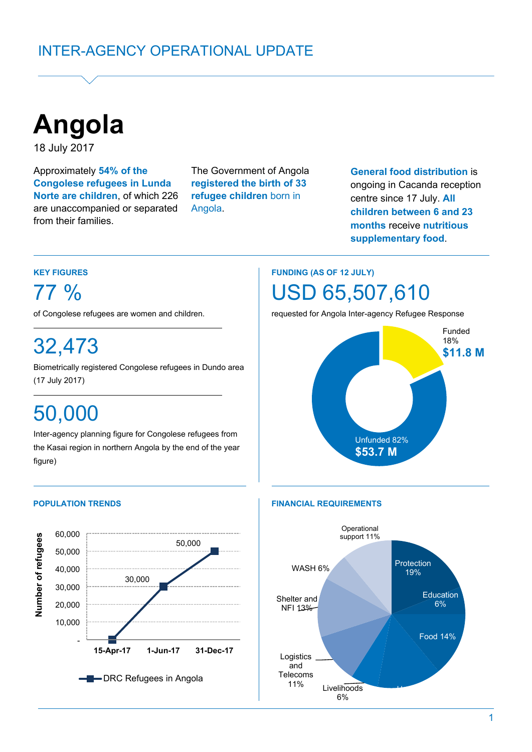

18 July 2017

Approximately **54% of the Congolese refugees in Lunda Norte are children**, of which 226 are unaccompanied or separated from their families.

The Government of Angola **registered the birth of 33 refugee children** born in Angola.

**General food distribution** is ongoing in Cacanda reception centre since 17 July. **All children between 6 and 23 months** receive **nutritious supplementary food**.

### **KEY FIGURES**

77 %

of Congolese refugees are women and children.

# 32,473

Biometrically registered Congolese refugees in Dundo area (17 July 2017) (5 July 2017)**. June)**

# 50,000

Inter-agency planning figure for Congolese refugees from the Kasai region in northern Angola by the end of the year figure)



# **FUNDING (AS OF 12 JULY)** USD 65,507,610

requested for Angola Inter-agency Refugee Response



#### **POPULATION TRENDS FINANCIAL REQUIREMENTS**

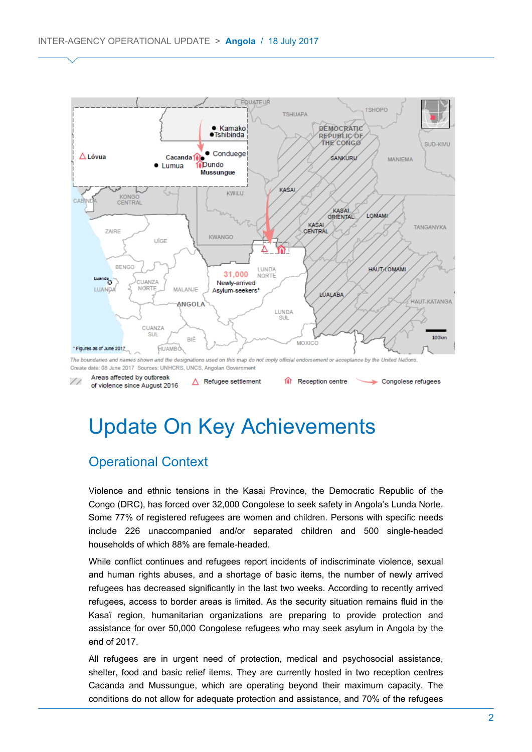

# Update On Key Achievements

## Operational Context

Violence and ethnic tensions in the Kasai Province, the Democratic Republic of the Congo (DRC), has forced over 32,000 Congolese to seek safety in Angola's Lunda Norte. Some 77% of registered refugees are women and children. Persons with specific needs include 226 unaccompanied and/or separated children and 500 single-headed households of which 88% are female-headed.

While conflict continues and refugees report incidents of indiscriminate violence, sexual and human rights abuses, and a shortage of basic items, the number of newly arrived refugees has decreased significantly in the last two weeks. According to recently arrived refugees, access to border areas is limited. As the security situation remains fluid in the Kasaï region, humanitarian organizations are preparing to provide protection and assistance for over 50,000 Congolese refugees who may seek asylum in Angola by the end of 2017.

All refugees are in urgent need of protection, medical and psychosocial assistance, shelter, food and basic relief items. They are currently hosted in two reception centres Cacanda and Mussungue, which are operating beyond their maximum capacity. The conditions do not allow for adequate protection and assistance, and 70% of the refugees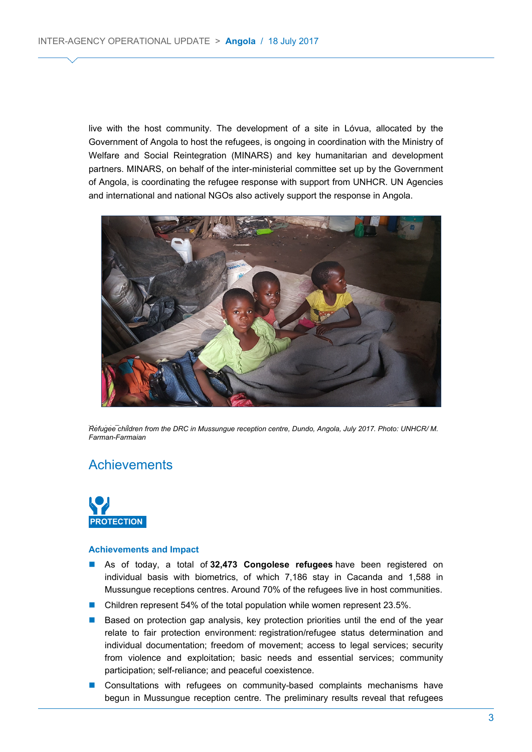live with the host community. The development of a site in Lóvua, allocated by the Government of Angola to host the refugees, is ongoing in coordination with the Ministry of Welfare and Social Reintegration (MINARS) and key humanitarian and development partners. MINARS, on behalf of the inter-ministerial committee set up by the Government of Angola, is coordinating the refugee response with support from UNHCR. UN Agencies and international and national NGOs also actively support the response in Angola.



Refugee children from the DRC in Mussungue reception centre, Dundo, Angola, July 2017. Photo: UNHCR/ M. *Farman-Farmaian*

### **Achievements**



#### **Achievements and Impact**

- As of today, a total of **32,473 Congolese refugees** have been registered on individual basis with biometrics, of which 7,186 stay in Cacanda and 1,588 in Mussungue receptions centres. Around 70% of the refugees live in host communities.
- Children represent 54% of the total population while women represent 23.5%.
- Based on protection gap analysis, key protection priorities until the end of the year relate to fair protection environment: registration/refugee status determination and individual documentation; freedom of movement; access to legal services; security from violence and exploitation; basic needs and essential services; community participation; self-reliance; and peaceful coexistence.
- **Consultations with refugees on community-based complaints mechanisms have** begun in Mussungue reception centre. The preliminary results reveal that refugees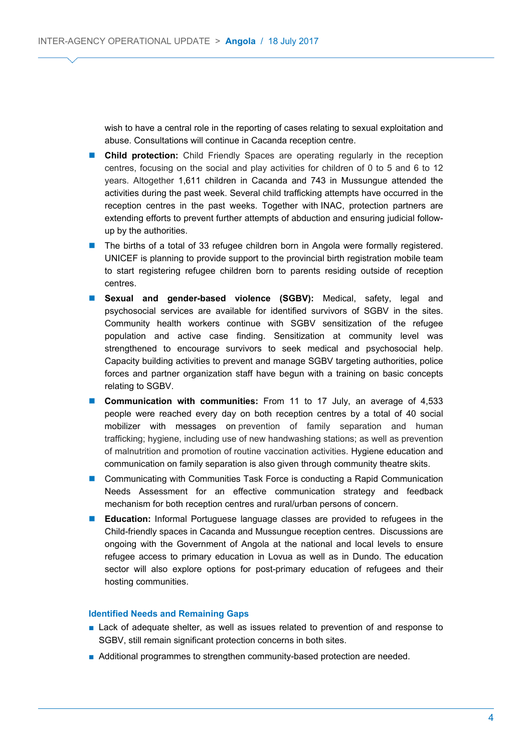wish to have a central role in the reporting of cases relating to sexual exploitation and abuse. Consultations will continue in Cacanda reception centre.

- **Child protection:** Child Friendly Spaces are operating regularly in the reception centres, focusing on the social and play activities for children of 0 to 5 and 6 to 12 years. Altogether 1,611 children in Cacanda and 743 in Mussungue attended the activities during the past week. Several child trafficking attempts have occurred in the reception centres in the past weeks. Together with INAC, protection partners are extending efforts to prevent further attempts of abduction and ensuring judicial followup by the authorities.
- The births of a total of 33 refugee children born in Angola were formally registered. UNICEF is planning to provide support to the provincial birth registration mobile team to start registering refugee children born to parents residing outside of reception centres.
- **Sexual and gender-based violence (SGBV):** Medical, safety, legal and psychosocial services are available for identified survivors of SGBV in the sites. Community health workers continue with SGBV sensitization of the refugee population and active case finding. Sensitization at community level was strengthened to encourage survivors to seek medical and psychosocial help. Capacity building activities to prevent and manage SGBV targeting authorities, police forces and partner organization staff have begun with a training on basic concepts relating to SGBV.
- **Communication with communities:** From 11 to 17 July, an average of 4,533 people were reached every day on both reception centres by a total of 40 social mobilizer with messages on prevention of family separation and human trafficking; hygiene, including use of new handwashing stations; as well as prevention of malnutrition and promotion of routine vaccination activities. Hygiene education and communication on family separation is also given through community theatre skits.
- **Communicating with Communities Task Force is conducting a Rapid Communication** Needs Assessment for an effective communication strategy and feedback mechanism for both reception centres and rural/urban persons of concern.
- **Education:** Informal Portuguese language classes are provided to refugees in the Child-friendly spaces in Cacanda and Mussungue reception centres. Discussions are ongoing with the Government of Angola at the national and local levels to ensure refugee access to primary education in Lovua as well as in Dundo. The education sector will also explore options for post-primary education of refugees and their hosting communities.

#### **Identified Needs and Remaining Gaps**

- Lack of adequate shelter, as well as issues related to prevention of and response to SGBV, still remain significant protection concerns in both sites.
- Additional programmes to strengthen community-based protection are needed.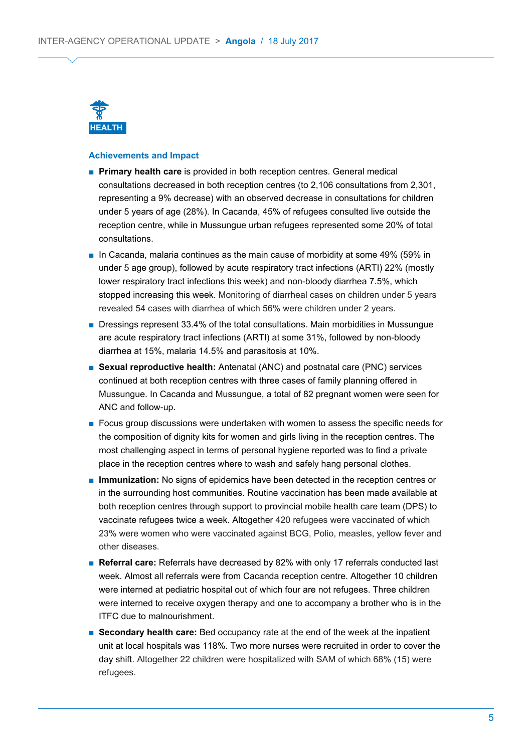

#### **Achievements and Impact**

- **Primary health care** is provided in both reception centres. General medical consultations decreased in both reception centres (to 2,106 consultations from 2,301, representing a 9% decrease) with an observed decrease in consultations for children under 5 years of age (28%). In Cacanda, 45% of refugees consulted live outside the reception centre, while in Mussungue urban refugees represented some 20% of total consultations.
- In Cacanda, malaria continues as the main cause of morbidity at some 49% (59% in under 5 age group), followed by acute respiratory tract infections (ARTI) 22% (mostly lower respiratory tract infections this week) and non-bloody diarrhea 7.5%, which stopped increasing this week. Monitoring of diarrheal cases on children under 5 years revealed 54 cases with diarrhea of which 56% were children under 2 years.
- Dressings represent 33.4% of the total consultations. Main morbidities in Mussungue are acute respiratory tract infections (ARTI) at some 31%, followed by non-bloody diarrhea at 15%, malaria 14.5% and parasitosis at 10%.
- **Sexual reproductive health:** Antenatal (ANC) and postnatal care (PNC) services continued at both reception centres with three cases of family planning offered in Mussungue. In Cacanda and Mussungue, a total of 82 pregnant women were seen for ANC and follow-up.
- Focus group discussions were undertaken with women to assess the specific needs for the composition of dignity kits for women and girls living in the reception centres. The most challenging aspect in terms of personal hygiene reported was to find a private place in the reception centres where to wash and safely hang personal clothes.
- **Immunization:** No signs of epidemics have been detected in the reception centres or in the surrounding host communities. Routine vaccination has been made available at both reception centres through support to provincial mobile health care team (DPS) to vaccinate refugees twice a week. Altogether 420 refugees were vaccinated of which 23% were women who were vaccinated against BCG, Polio, measles, yellow fever and other diseases.
- **Referral care:** Referrals have decreased by 82% with only 17 referrals conducted last week. Almost all referrals were from Cacanda reception centre. Altogether 10 children were interned at pediatric hospital out of which four are not refugees. Three children were interned to receive oxygen therapy and one to accompany a brother who is in the ITFC due to malnourishment.
- **Secondary health care:** Bed occupancy rate at the end of the week at the inpatient unit at local hospitals was 118%. Two more nurses were recruited in order to cover the day shift. Altogether 22 children were hospitalized with SAM of which 68% (15) were refugees.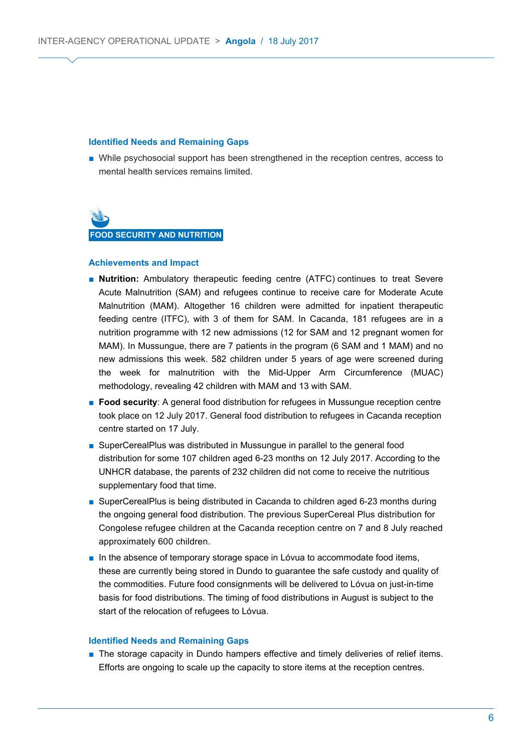#### **Identified Needs and Remaining Gaps**

■ While psychosocial support has been strengthened in the reception centres, access to mental health services remains limited.



#### **Achievements and Impact**

- **Nutrition:** Ambulatory therapeutic feeding centre (ATFC) continues to treat Severe Acute Malnutrition (SAM) and refugees continue to receive care for Moderate Acute Malnutrition (MAM). Altogether 16 children were admitted for inpatient therapeutic feeding centre (ITFC), with 3 of them for SAM. In Cacanda, 181 refugees are in a nutrition programme with 12 new admissions (12 for SAM and 12 pregnant women for MAM). In Mussungue, there are 7 patients in the program (6 SAM and 1 MAM) and no new admissions this week. 582 children under 5 years of age were screened during the week for malnutrition with the Mid-Upper Arm Circumference (MUAC) methodology, revealing 42 children with MAM and 13 with SAM.
- **Food security**: A general food distribution for refugees in Mussungue reception centre took place on 12 July 2017. General food distribution to refugees in Cacanda reception centre started on 17 July.
- SuperCerealPlus was distributed in Mussungue in parallel to the general food distribution for some 107 children aged 6-23 months on 12 July 2017. According to the UNHCR database, the parents of 232 children did not come to receive the nutritious supplementary food that time.
- SuperCerealPlus is being distributed in Cacanda to children aged 6-23 months during the ongoing general food distribution. The previous SuperCereal Plus distribution for Congolese refugee children at the Cacanda reception centre on 7 and 8 July reached approximately 600 children.
- In the absence of temporary storage space in Lóvua to accommodate food items, these are currently being stored in Dundo to guarantee the safe custody and quality of the commodities. Future food consignments will be delivered to Lóvua on just-in-time basis for food distributions. The timing of food distributions in August is subject to the start of the relocation of refugees to Lóvua.

#### **Identified Needs and Remaining Gaps**

■ The storage capacity in Dundo hampers effective and timely deliveries of relief items. Efforts are ongoing to scale up the capacity to store items at the reception centres.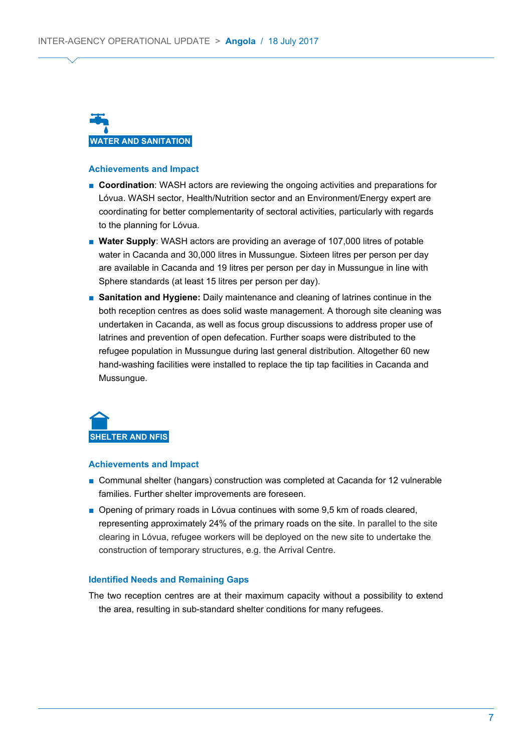

#### **Achievements and Impact**

- **Coordination**: WASH actors are reviewing the ongoing activities and preparations for Lóvua. WASH sector, Health/Nutrition sector and an Environment/Energy expert are coordinating for better complementarity of sectoral activities, particularly with regards to the planning for Lóvua.
- **Water Supply**: WASH actors are providing an average of 107,000 litres of potable water in Cacanda and 30,000 litres in Mussungue. Sixteen litres per person per day are available in Cacanda and 19 litres per person per day in Mussungue in line with Sphere standards (at least 15 litres per person per day).
- **Sanitation and Hygiene:** Daily maintenance and cleaning of latrines continue in the both reception centres as does solid waste management. A thorough site cleaning was undertaken in Cacanda, as well as focus group discussions to address proper use of latrines and prevention of open defecation. Further soaps were distributed to the refugee population in Mussungue during last general distribution. Altogether 60 new hand-washing facilities were installed to replace the tip tap facilities in Cacanda and Mussungue.



#### **Achievements and Impact**

- Communal shelter (hangars) construction was completed at Cacanda for 12 vulnerable families. Further shelter improvements are foreseen.
- Opening of primary roads in Lóvua continues with some 9,5 km of roads cleared, representing approximately 24% of the primary roads on the site. In parallel to the site clearing in Lóvua, refugee workers will be deployed on the new site to undertake the construction of temporary structures, e.g. the Arrival Centre.

#### **Identified Needs and Remaining Gaps**

The two reception centres are at their maximum capacity without a possibility to extend the area, resulting in sub-standard shelter conditions for many refugees.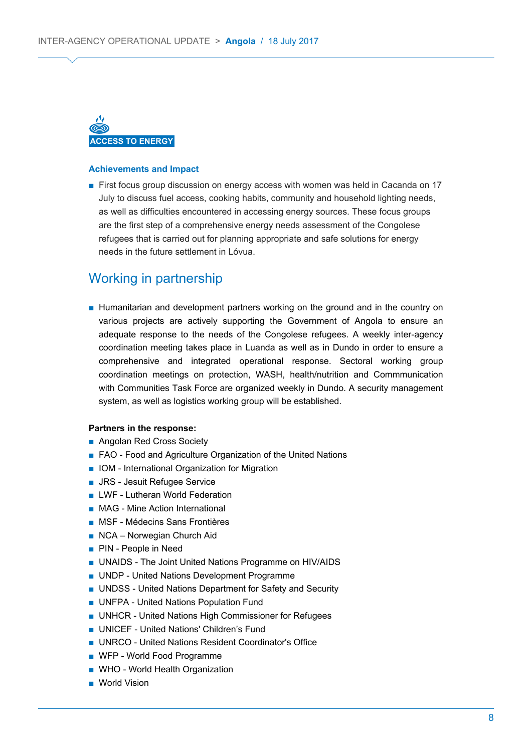

#### **Achievements and Impact**

■ First focus group discussion on energy access with women was held in Cacanda on 17 July to discuss fuel access, cooking habits, community and household lighting needs, as well as difficulties encountered in accessing energy sources. These focus groups are the first step of a comprehensive energy needs assessment of the Congolese refugees that is carried out for planning appropriate and safe solutions for energy needs in the future settlement in Lóvua.

### Working in partnership

■ Humanitarian and development partners working on the ground and in the country on various projects are actively supporting the Government of Angola to ensure an adequate response to the needs of the Congolese refugees. A weekly inter-agency coordination meeting takes place in Luanda as well as in Dundo in order to ensure a comprehensive and integrated operational response. Sectoral working group coordination meetings on protection, WASH, health/nutrition and Commmunication with Communities Task Force are organized weekly in Dundo. A security management system, as well as logistics working group will be established.

#### **Partners in the response:**

- Angolan Red Cross Society
- FAO Food and Agriculture Organization of the United Nations
- IOM International Organization for Migration
- JRS Jesuit Refugee Service
- LWF Lutheran World Federation
- MAG Mine Action International
- MSF Médecins Sans Frontières
- NCA Norwegian Church Aid
- PIN People in Need
- UNAIDS The Joint United Nations Programme on HIV/AIDS
- UNDP United Nations Development Programme
- UNDSS United Nations Department for Safety and Security
- UNFPA United Nations Population Fund
- UNHCR United Nations High Commissioner for Refugees
- UNICEF United Nations' Children's Fund
- UNRCO United Nations Resident Coordinator's Office
- WFP World Food Programme
- WHO World Health Organization
- World Vision